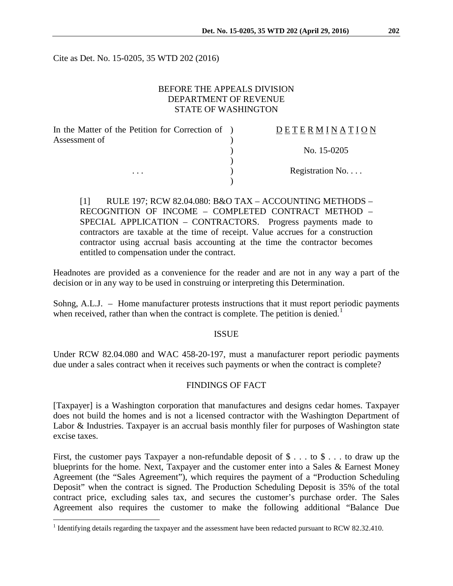Cite as Det. No. 15-0205, 35 WTD 202 (2016)

## BEFORE THE APPEALS DIVISION DEPARTMENT OF REVENUE STATE OF WASHINGTON

| In the Matter of the Petition for Correction of ) | DETERMINATION   |
|---------------------------------------------------|-----------------|
| Assessment of                                     |                 |
|                                                   | No. 15-0205     |
|                                                   |                 |
| $\cdots$                                          | Registration No |
|                                                   |                 |

[1] RULE 197; RCW 82.04.080: B&O TAX – ACCOUNTING METHODS – RECOGNITION OF INCOME – COMPLETED CONTRACT METHOD – SPECIAL APPLICATION – CONTRACTORS. Progress payments made to contractors are taxable at the time of receipt. Value accrues for a construction contractor using accrual basis accounting at the time the contractor becomes entitled to compensation under the contract.

Headnotes are provided as a convenience for the reader and are not in any way a part of the decision or in any way to be used in construing or interpreting this Determination.

Sohng, A.L.J. – Home manufacturer protests instructions that it must report periodic payments when received, rather than when the contract is complete. The petition is denied.<sup>[1](#page-0-0)</sup>

#### ISSUE

Under RCW 82.04.080 and WAC 458-20-197, must a manufacturer report periodic payments due under a sales contract when it receives such payments or when the contract is complete?

#### FINDINGS OF FACT

[Taxpayer] is a Washington corporation that manufactures and designs cedar homes. Taxpayer does not build the homes and is not a licensed contractor with the Washington Department of Labor & Industries. Taxpayer is an accrual basis monthly filer for purposes of Washington state excise taxes.

First, the customer pays Taxpayer a non-refundable deposit of  $\$\ldots$  to  $\$\ldots$  to draw up the blueprints for the home. Next, Taxpayer and the customer enter into a Sales & Earnest Money Agreement (the "Sales Agreement"), which requires the payment of a "Production Scheduling Deposit" when the contract is signed. The Production Scheduling Deposit is 35% of the total contract price, excluding sales tax, and secures the customer's purchase order. The Sales Agreement also requires the customer to make the following additional "Balance Due

<span id="page-0-0"></span><sup>&</sup>lt;sup>1</sup> Identifying details regarding the taxpayer and the assessment have been redacted pursuant to RCW 82.32.410.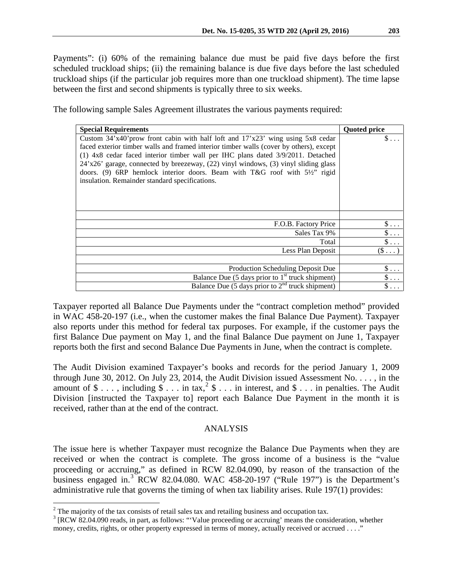Payments": (i) 60% of the remaining balance due must be paid five days before the first scheduled truckload ships; (ii) the remaining balance is due five days before the last scheduled truckload ships (if the particular job requires more than one truckload shipment). The time lapse between the first and second shipments is typically three to six weeks.

The following sample Sales Agreement illustrates the various payments required:

| <b>Special Requirements</b>                                                                                                                                                                                                                                                                                                                                                                                                                                                                        | <b>Quoted price</b> |
|----------------------------------------------------------------------------------------------------------------------------------------------------------------------------------------------------------------------------------------------------------------------------------------------------------------------------------------------------------------------------------------------------------------------------------------------------------------------------------------------------|---------------------|
| Custom $34'x40'$ prow front cabin with half loft and $17'x23'$ wing using $5x8$ cedar<br>faced exterior timber walls and framed interior timber walls (cover by others), except<br>(1) 4x8 cedar faced interior timber wall per IHC plans dated 3/9/2011. Detached<br>24'x26' garage, connected by breezeway, (22) vinyl windows, (3) vinyl sliding glass<br>doors. (9) 6RP hemlock interior doors. Beam with T&G roof with $5\frac{1}{2}$ rigid<br>insulation. Remainder standard specifications. | \$.                 |
|                                                                                                                                                                                                                                                                                                                                                                                                                                                                                                    |                     |
| F.O.B. Factory Price                                                                                                                                                                                                                                                                                                                                                                                                                                                                               | $\$\ldots$          |
| Sales Tax 9%                                                                                                                                                                                                                                                                                                                                                                                                                                                                                       | $\$\ldots$          |
| Total                                                                                                                                                                                                                                                                                                                                                                                                                                                                                              | $\$\ldots$          |
| Less Plan Deposit                                                                                                                                                                                                                                                                                                                                                                                                                                                                                  | $(\mathbb{S} \dots$ |
|                                                                                                                                                                                                                                                                                                                                                                                                                                                                                                    |                     |
| Production Scheduling Deposit Due                                                                                                                                                                                                                                                                                                                                                                                                                                                                  | $\$\ldots$          |
| Balance Due (5 days prior to $1st$ truck shipment)                                                                                                                                                                                                                                                                                                                                                                                                                                                 | $\$\ldots$          |
| Balance Due (5 days prior to $2nd$ truck shipment)                                                                                                                                                                                                                                                                                                                                                                                                                                                 |                     |

Taxpayer reported all Balance Due Payments under the "contract completion method" provided in WAC 458-20-197 (i.e., when the customer makes the final Balance Due Payment). Taxpayer also reports under this method for federal tax purposes. For example, if the customer pays the first Balance Due payment on May 1, and the final Balance Due payment on June 1, Taxpayer reports both the first and second Balance Due Payments in June, when the contract is complete.

The Audit Division examined Taxpayer's books and records for the period January 1, 2009 through June 30, 2012. On July 23, 2014, the Audit Division issued Assessment No. . . . , in the amount of  $\$\ldots$ , including  $\$\ldots$  in tax,  $^{2}\$\ldots$  $^{2}\$\ldots$  $^{2}\$\ldots$  in interest, and  $\$\ldots$  in penalties. The Audit Division [instructed the Taxpayer to] report each Balance Due Payment in the month it is received, rather than at the end of the contract.

## ANALYSIS

The issue here is whether Taxpayer must recognize the Balance Due Payments when they are received or when the contract is complete. The gross income of a business is the "value proceeding or accruing," as defined in RCW 82.04.090, by reason of the transaction of the business engaged in.<sup>[3](#page-1-1)</sup> RCW 82.04.080. WAC 458-20-197 ("Rule 197") is the Department's administrative rule that governs the timing of when tax liability arises. Rule 197(1) provides:

<span id="page-1-0"></span> $2^2$  The majority of the tax consists of retail sales tax and retailing business and occupation tax.

<span id="page-1-1"></span><sup>&</sup>lt;sup>3</sup> [RCW 82.04.090 reads, in part, as follows: "'Value proceeding or accruing' means the consideration, whether money, credits, rights, or other property expressed in terms of money, actually received or accrued . . . ."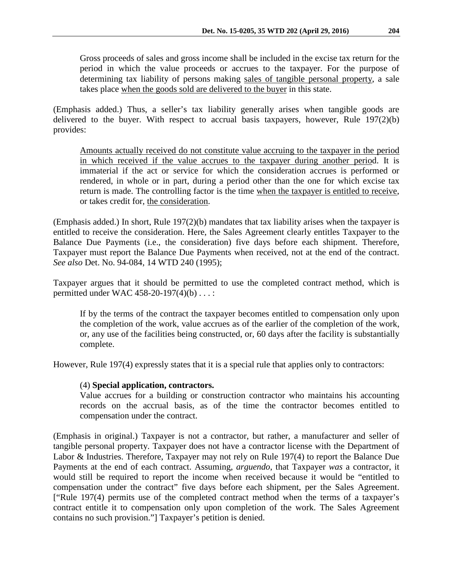Gross proceeds of sales and gross income shall be included in the excise tax return for the period in which the value proceeds or accrues to the taxpayer. For the purpose of determining tax liability of persons making sales of tangible personal property, a sale takes place when the goods sold are delivered to the buyer in this state.

(Emphasis added.) Thus, a seller's tax liability generally arises when tangible goods are delivered to the buyer. With respect to accrual basis taxpayers, however, Rule  $197(2)(b)$ provides:

Amounts actually received do not constitute value accruing to the taxpayer in the period in which received if the value accrues to the taxpayer during another period. It is immaterial if the act or service for which the consideration accrues is performed or rendered, in whole or in part, during a period other than the one for which excise tax return is made. The controlling factor is the time when the taxpayer is entitled to receive, or takes credit for, the consideration.

(Emphasis added.) In short, Rule  $197(2)(b)$  mandates that tax liability arises when the taxpayer is entitled to receive the consideration. Here, the Sales Agreement clearly entitles Taxpayer to the Balance Due Payments (i.e., the consideration) five days before each shipment. Therefore, Taxpayer must report the Balance Due Payments when received, not at the end of the contract. *See also* Det. No. 94-084, 14 WTD 240 (1995);

Taxpayer argues that it should be permitted to use the completed contract method, which is permitted under WAC 458-20-197(4)(b) . . . :

If by the terms of the contract the taxpayer becomes entitled to compensation only upon the completion of the work, value accrues as of the earlier of the completion of the work, or, any use of the facilities being constructed, or, 60 days after the facility is substantially complete.

However, Rule 197(4) expressly states that it is a special rule that applies only to contractors:

## (4) **Special application, contractors.**

Value accrues for a building or construction contractor who maintains his accounting records on the accrual basis, as of the time the contractor becomes entitled to compensation under the contract.

(Emphasis in original.) Taxpayer is not a contractor, but rather, a manufacturer and seller of tangible personal property. Taxpayer does not have a contractor license with the Department of Labor & Industries. Therefore, Taxpayer may not rely on Rule 197(4) to report the Balance Due Payments at the end of each contract. Assuming, *arguendo*, that Taxpayer *was* a contractor, it would still be required to report the income when received because it would be "entitled to compensation under the contract" five days before each shipment, per the Sales Agreement. ["Rule 197(4) permits use of the completed contract method when the terms of a taxpayer's contract entitle it to compensation only upon completion of the work. The Sales Agreement contains no such provision."] Taxpayer's petition is denied.